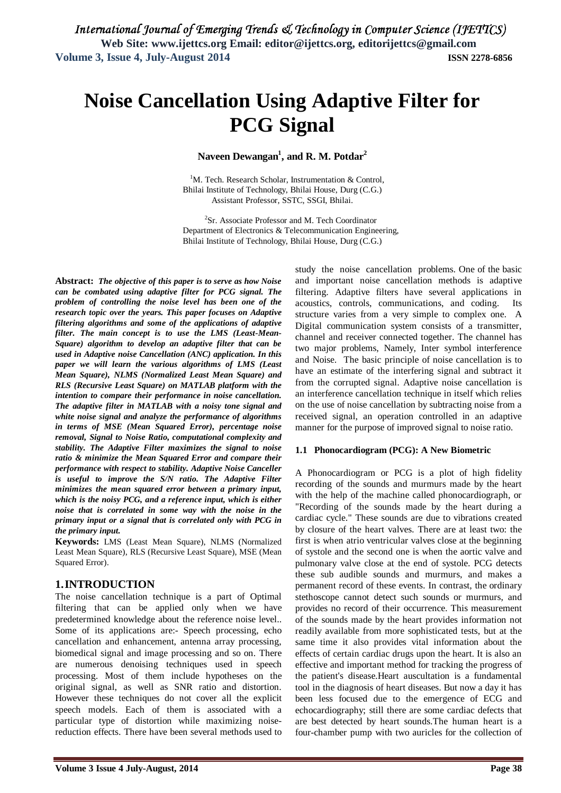# **Noise Cancellation Using Adaptive Filter for PCG Signal**

**Naveen Dewangan<sup>1</sup> , and R. M. Potdar<sup>2</sup>**

<sup>1</sup>M. Tech. Research Scholar, Instrumentation & Control, Bhilai Institute of Technology, Bhilai House, Durg (C.G.) Assistant Professor, SSTC, SSGI, Bhilai.

<sup>2</sup>Sr. Associate Professor and M. Tech Coordinator Department of Electronics & Telecommunication Engineering, Bhilai Institute of Technology, Bhilai House, Durg (C.G.)

**Abstract:** *The objective of this paper is to serve as how Noise can be combated using adaptive filter for PCG signal. The problem of controlling the noise level has been one of the research topic over the years. This paper focuses on Adaptive filtering algorithms and some of the applications of adaptive filter. The main concept is to use the LMS (Least-Mean-Square) algorithm to develop an adaptive filter that can be used in Adaptive noise Cancellation (ANC) application. In this paper we will learn the various algorithms of LMS (Least Mean Square), NLMS (Normalized Least Mean Square) and RLS (Recursive Least Square) on MATLAB platform with the intention to compare their performance in noise cancellation. The adaptive filter in MATLAB with a noisy tone signal and white noise signal and analyze the performance of algorithms in terms of MSE (Mean Squared Error), percentage noise removal, Signal to Noise Ratio, computational complexity and stability. The Adaptive Filter maximizes the signal to noise ratio & minimize the Mean Squared Error and compare their performance with respect to stability. Adaptive Noise Canceller is useful to improve the S/N ratio. The Adaptive Filter minimizes the mean squared error between a primary input, which is the noisy PCG, and a reference input, which is either noise that is correlated in some way with the noise in the primary input or a signal that is correlated only with PCG in the primary input.*

**Keywords:** LMS (Least Mean Square), NLMS (Normalized Least Mean Square), RLS (Recursive Least Square), MSE (Mean Squared Error).

## **1.INTRODUCTION**

The noise cancellation technique is a part of Optimal filtering that can be applied only when we have predetermined knowledge about the reference noise level.. Some of its applications are:- Speech processing, echo cancellation and enhancement, antenna array processing, biomedical signal and image processing and so on. There are numerous denoising techniques used in speech processing. Most of them include hypotheses on the original signal, as well as SNR ratio and distortion. However these techniques do not cover all the explicit speech models. Each of them is associated with a particular type of distortion while maximizing noisereduction effects. There have been several methods used to study the noise cancellation problems. One of the basic and important noise cancellation methods is adaptive filtering. Adaptive filters have several applications in acoustics, controls, communications, and coding. Its structure varies from a very simple to complex one. A Digital communication system consists of a transmitter, channel and receiver connected together. The channel has two major problems, Namely, Inter symbol interference and Noise. The basic principle of noise cancellation is to have an estimate of the interfering signal and subtract it from the corrupted signal. Adaptive noise cancellation is an interference cancellation technique in itself which relies on the use of noise cancellation by subtracting noise from a received signal, an operation controlled in an adaptive manner for the purpose of improved signal to noise ratio.

#### **1.1 Phonocardiogram (PCG): A New Biometric**

A Phonocardiogram or PCG is a plot of high fidelity recording of the sounds and murmurs made by the heart with the help of the machine called phonocardiograph, or "Recording of the sounds made by the heart during a cardiac cycle." These sounds are due to vibrations created by closure of the heart valves. There are at least two: the first is when atrio ventricular valves close at the beginning of systole and the second one is when the aortic valve and pulmonary valve close at the end of systole. PCG detects these sub audible sounds and murmurs, and makes a permanent record of these events. In contrast, the ordinary stethoscope cannot detect such sounds or murmurs, and provides no record of their occurrence. This measurement of the sounds made by the heart provides information not readily available from more sophisticated tests, but at the same time it also provides vital information about the effects of certain cardiac drugs upon the heart. It is also an effective and important method for tracking the progress of the patient's disease.Heart auscultation is a fundamental tool in the diagnosis of heart diseases. But now a day it has been less focused due to the emergence of ECG and echocardiography; still there are some cardiac defects that are best detected by heart sounds.The human heart is a four-chamber pump with two auricles for the collection of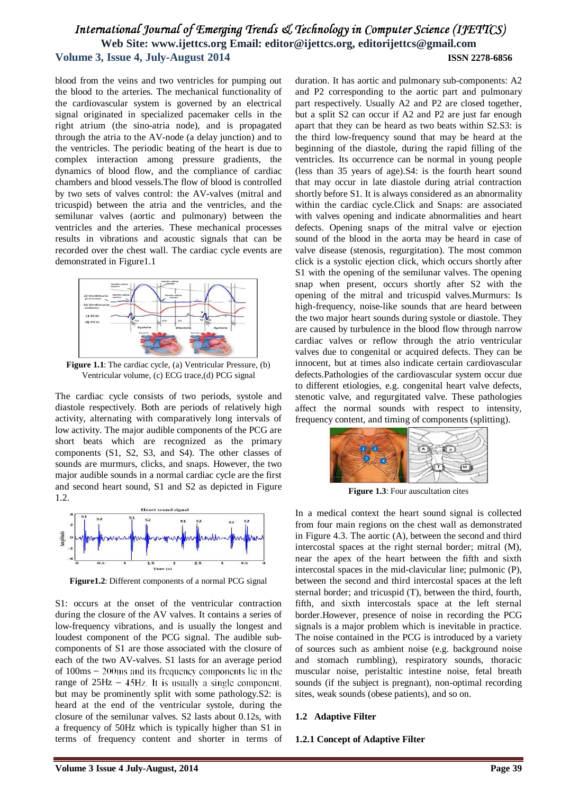blood from the veins and two ventricles for pumping out the blood to the arteries. The mechanical functionality of the cardiovascular system is governed by an electrical signal originated in specialized pacemaker cells in the right atrium (the sino-atria node), and is propagated through the atria to the AV-node (a delay junction) and to the ventricles. The periodic beating of the heart is due to complex interaction among pressure gradients, the dynamics of blood flow, and the compliance of cardiac chambers and blood vessels.The flow of blood is controlled by two sets of valves control: the AV-valves (mitral and tricuspid) between the atria and the ventricles, and the semilunar valves (aortic and pulmonary) between the ventricles and the arteries. These mechanical processes results in vibrations and acoustic signals that can be recorded over the chest wall. The cardiac cycle events are demonstrated in Figure1.1



**Figure 1.1**: The cardiac cycle, (a) Ventricular Pressure, (b) Ventricular volume, (c) ECG trace,(d) PCG signal

The cardiac cycle consists of two periods, systole and diastole respectively. Both are periods of relatively high activity, alternating with comparatively long intervals of low activity. The major audible components of the PCG are short beats which are recognized as the primary components (S1, S2, S3, and S4). The other classes of sounds are murmurs, clicks, and snaps. However, the two major audible sounds in a normal cardiac cycle are the first and second heart sound, S1 and S2 as depicted in Figure 1.2.



**Figure1.2**: Different components of a normal PCG signal

S1: occurs at the onset of the ventricular contraction during the closure of the AV valves. It contains a series of low-frequency vibrations, and is usually the longest and loudest component of the PCG signal. The audible subcomponents of S1 are those associated with the closure of each of the two AV-valves. S1 lasts for an average period of  $100\text{ms} - 200\text{ms}$  and its frequency components lie in the range of  $25\text{Hz} - 45\text{Hz}$ . It is usually a single component, but may be prominently split with some pathology.S2: is heard at the end of the ventricular systole, during the closure of the semilunar valves. S2 lasts about 0.12s, with a frequency of 50Hz which is typically higher than S1 in terms of frequency content and shorter in terms of

duration. It has aortic and pulmonary sub-components: A2 and P2 corresponding to the aortic part and pulmonary part respectively. Usually A2 and P2 are closed together, but a split S2 can occur if A2 and P2 are just far enough apart that they can be heard as two beats within S2.S3: is the third low-frequency sound that may be heard at the beginning of the diastole, during the rapid filling of the ventricles. Its occurrence can be normal in young people (less than 35 years of age).S4: is the fourth heart sound that may occur in late diastole during atrial contraction shortly before S1. It is always considered as an abnormality within the cardiac cycle.Click and Snaps: are associated with valves opening and indicate abnormalities and heart defects. Opening snaps of the mitral valve or ejection sound of the blood in the aorta may be heard in case of valve disease (stenosis, regurgitation). The most common click is a systolic ejection click, which occurs shortly after S1 with the opening of the semilunar valves. The opening snap when present, occurs shortly after S2 with the opening of the mitral and tricuspid valves.Murmurs: Is high-frequency, noise-like sounds that are heard between the two major heart sounds during systole or diastole. They are caused by turbulence in the blood flow through narrow cardiac valves or reflow through the atrio ventricular valves due to congenital or acquired defects. They can be innocent, but at times also indicate certain cardiovascular defects.Pathologies of the cardiovascular system occur due to different etiologies, e.g. congenital heart valve defects, stenotic valve, and regurgitated valve. These pathologies affect the normal sounds with respect to intensity, frequency content, and timing of components (splitting).



**Figure 1.3**: Four auscultation cites

In a medical context the heart sound signal is collected from four main regions on the chest wall as demonstrated in Figure 4.3. The aortic (A), between the second and third intercostal spaces at the right sternal border; mitral (M), near the apex of the heart between the fifth and sixth intercostal spaces in the mid-clavicular line; pulmonic (P), between the second and third intercostal spaces at the left sternal border; and tricuspid (T), between the third, fourth, fifth, and sixth intercostals space at the left sternal border.However, presence of noise in recording the PCG signals is a major problem which is inevitable in practice. The noise contained in the PCG is introduced by a variety of sources such as ambient noise (e.g. background noise and stomach rumbling), respiratory sounds, thoracic muscular noise, peristaltic intestine noise, fetal breath sounds (if the subject is pregnant), non-optimal recording sites, weak sounds (obese patients), and so on.

#### **1.2 Adaptive Filter**

#### **1.2.1 Concept of Adaptive Filter**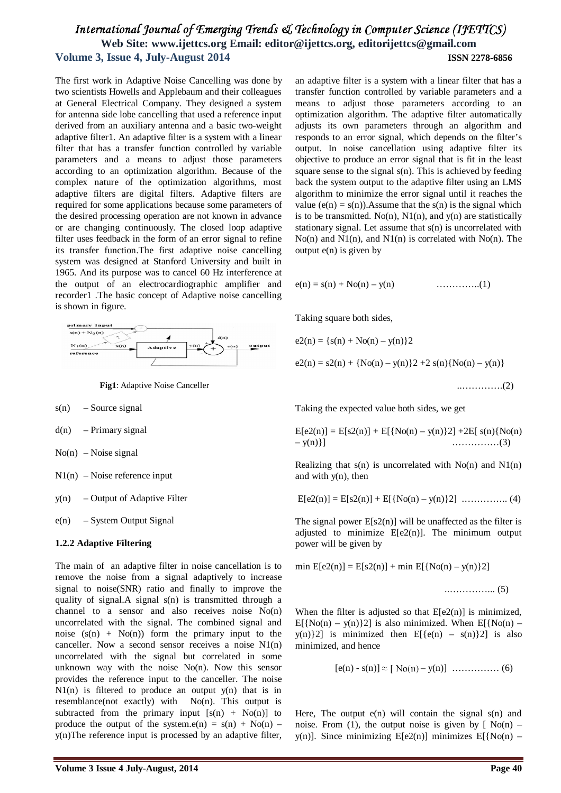The first work in Adaptive Noise Cancelling was done by two scientists Howells and Applebaum and their colleagues at General Electrical Company. They designed a system for antenna side lobe cancelling that used a reference input derived from an auxiliary antenna and a basic two-weight adaptive filter1. An adaptive filter is a system with a linear filter that has a transfer function controlled by variable parameters and a means to adjust those parameters according to an optimization algorithm. Because of the complex nature of the optimization algorithms, most adaptive filters are digital filters. Adaptive filters are required for some applications because some parameters of the desired processing operation are not known in advance or are changing continuously. The closed loop adaptive filter uses feedback in the form of an error signal to refine its transfer function.The first adaptive noise cancelling system was designed at Stanford University and built in 1965. And its purpose was to cancel 60 Hz interference at the output of an electrocardiographic amplifier and recorder1 .The basic concept of Adaptive noise cancelling is shown in figure.



**Fig1**: Adaptive Noise Canceller

- $s(n)$  Source signal
- $d(n)$  Primary signal
- $No(n)$  Noise signal
- $N1(n)$  Noise reference input
- y(n) Output of Adaptive Filter
- $e(n)$  System Output Signal

#### **1.2.2 Adaptive Filtering**

The main of an adaptive filter in noise cancellation is to remove the noise from a signal adaptively to increase signal to noise(SNR) ratio and finally to improve the quality of signal.A signal s(n) is transmitted through a channel to a sensor and also receives noise No(n) uncorrelated with the signal. The combined signal and noise  $(s(n) + No(n))$  form the primary input to the canceller. Now a second sensor receives a noise  $N1(n)$ uncorrelated with the signal but correlated in some unknown way with the noise  $No(n)$ . Now this sensor provides the reference input to the canceller. The noise  $N1(n)$  is filtered to produce an output  $y(n)$  that is in resemblance(not exactly) with No(n). This output is subtracted from the primary input  $[s(n) + No(n)]$  to produce the output of the system.e(n) =  $s(n) + No(n)$  – y(n)The reference input is processed by an adaptive filter, an adaptive filter is a system with a linear filter that has a transfer function controlled by variable parameters and a means to adjust those parameters according to an optimization algorithm. The adaptive filter automatically adjusts its own parameters through an algorithm and responds to an error signal, which depends on the filter's output. In noise cancellation using adaptive filter its objective to produce an error signal that is fit in the least square sense to the signal  $s(n)$ . This is achieved by feeding back the system output to the adaptive filter using an LMS algorithm to minimize the error signal until it reaches the value  $(e(n) = s(n))$ . Assume that the  $s(n)$  is the signal which is to be transmitted. No(n),  $N1(n)$ , and  $y(n)$  are statistically stationary signal. Let assume that s(n) is uncorrelated with  $No(n)$  and  $N1(n)$ , and  $N1(n)$  is correlated with  $No(n)$ . The output  $e(n)$  is given by

$$
e(n) = s(n) + No(n) - y(n) \qquad \qquad \dots \dots \dots \dots (1)
$$

Taking square both sides,

e2(n) = {s(n) + No(n) – y(n)}2 e2(n) = s2(n) + {No(n) – y(n)}2 +2 s(n){No(n) – y(n)} ..………….(2)

Taking the expected value both sides, we get

$$
E[e2(n)] = E[s2(n)] + E[{No(n) – y(n)}2] + 2E[s(n){No(n) – y(n)}]
$$
.................(3)

Realizing that  $s(n)$  is uncorrelated with  $No(n)$  and  $N1(n)$ and with y(n), then

$$
E[e2(n)] = E[s2(n)] + E[{No(n) - y(n)}2] \dots (4)
$$

The signal power  $E[s2(n)]$  will be unaffected as the filter is adjusted to minimize  $E[e2(n)]$ . The minimum output power will be given by

min  $E[e2(n)] = E[s2(n)] + min E[{No(n) - y(n)}2]$ 

$$
\ldots \ldots \ldots \ldots \ldots (5)
$$

When the filter is adjusted so that  $E[e2(n)]$  is minimized,  $E[{No(n) - y(n)}2]$  is also minimized. When  $E[{No(n)$  $y(n)$ [2] is minimized then E[{e(n) – s(n)}2] is also minimized, and hence

[e(n) - s(n)] – y(n)] …………… (6)

Here, The output  $e(n)$  will contain the signal  $s(n)$  and noise. From (1), the output noise is given by  $[$  No(n) – y(n)]. Since minimizing  $E[e2(n)]$  minimizes  $E[{No(n) -}$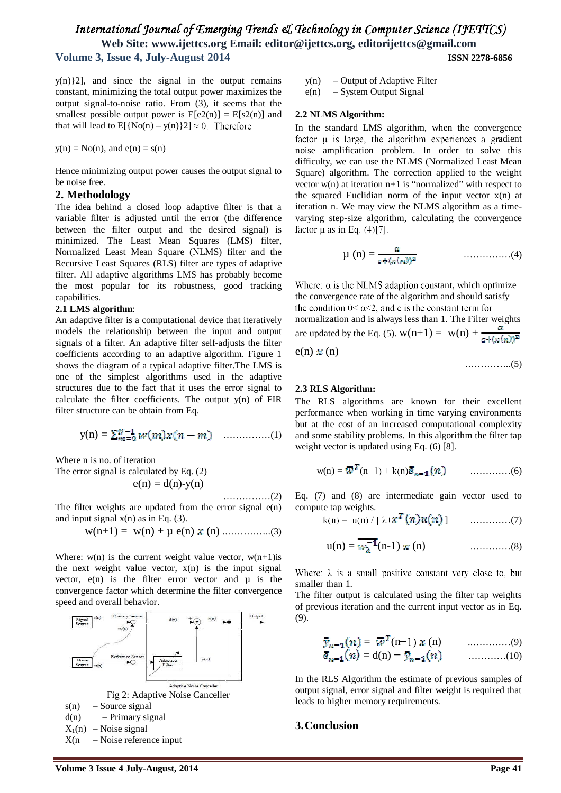$y(n)$ ? [2], and since the signal in the output remains constant, minimizing the total output power maximizes the output signal-to-noise ratio. From (3), it seems that the smallest possible output power is  $E[e2(n)] = E[s2(n)]$  and that will lead to  $E[{No(n) - y(n)}2] \approx 0$ . Therefore

 $y(n) = No(n)$ , and  $e(n) = s(n)$ 

Hence minimizing output power causes the output signal to be noise free.

#### **2. Methodology**

The idea behind a closed loop adaptive filter is that a variable filter is adjusted until the error (the difference between the filter output and the desired signal) is minimized. The Least Mean Squares (LMS) filter, Normalized Least Mean Square (NLMS) filter and the Recursive Least Squares (RLS) filter are types of adaptive filter. All adaptive algorithms LMS has probably become the most popular for its robustness, good tracking capabilities.

#### **2.1 LMS algorithm**:

An adaptive filter is a computational device that iteratively models the relationship between the input and output signals of a filter. An adaptive filter self-adjusts the filter coefficients according to an adaptive algorithm. Figure 1 shows the diagram of a typical adaptive filter.The LMS is one of the simplest algorithms used in the adaptive structures due to the fact that it uses the error signal to calculate the filter coefficients. The output y(n) of FIR filter structure can be obtain from Eq.

$$
y(n) = \sum_{m=0}^{N-1} w(m) x(n-m) \quad \dots \dots \dots \dots (1)
$$

Where n is no. of iteration

The error signal is calculated by Eq. (2)  $e(n) = d(n)$ -y(n)

……………(2)

The filter weights are updated from the error signal  $e(n)$ and input signal  $x(n)$  as in Eq. (3).

$$
w(n+1) = w(n) + \mu e(n) \times (n) \dots \dots \dots \dots \dots (3)
$$

Where:  $w(n)$  is the current weight value vector,  $w(n+1)$  is the next weight value vector,  $x(n)$  is the input signal vector,  $e(n)$  is the filter error vector and  $\mu$  is the convergence factor which determine the filter convergence speed and overall behavior.



y(n) – Output of Adaptive Filter

e(n) – System Output Signal

#### **2.2 NLMS Algorithm:**

In the standard LMS algorithm, when the convergence factor  $\mu$  is large, the algorithm experiences a gradient noise amplification problem. In order to solve this difficulty, we can use the NLMS (Normalized Least Mean Square) algorithm. The correction applied to the weight vector  $w(n)$  at iteration  $n+1$  is "normalized" with respect to the squared Euclidian norm of the input vector  $x(n)$  at iteration n. We may view the NLMS algorithm as a timevarying step-size algorithm, calculating the convergence factor  $\mu$  as in Eq. (4)[7].

µ (n) = ……………(4)

Where:  $\alpha$  is the NLMS adaption constant, which optimize the convergence rate of the algorithm and should satisfy the condition  $0<\alpha<2$ , and c is the constant term for normalization and is always less than 1. The Filter weights are updated by the Eq. (5).  $w(n+1) = w(n) + \frac{\alpha}{\sigma + (x(n))^2}$  $e(n) \mathbf{x}(n)$ 

.…………..(5)

#### **2.3 RLS Algorithm:**

The RLS algorithms are known for their excellent performance when working in time varying environments but at the cost of an increased computational complexity and some stability problems. In this algorithm the filter tap weight vector is updated using Eq. (6) [8].

$$
w(n) = \overline{w}^T(n-1) + k(n)\overline{e}_{n-1}(n) \qquad \qquad \ldots \ldots \ldots \ldots (6)
$$

Eq. (7) and (8) are intermediate gain vector used to compute tap weights.

$$
k(n) = u(n) / [\lambda + x^* (n) u(n)] \quad \ldots \ldots \ldots \ldots (7)
$$

u(n) = (n-1) (n) .…………(8)

Where:  $\lambda$  is a small positive constant very close to, but smaller than 1.

The filter output is calculated using the filter tap weights of previous iteration and the current input vector as in Eq. (9).

$$
\bar{y}_{n-1}(n) = \overline{w}^{T}(n-1) x (n) \quad \dots \dots \dots \dots (9)
$$
  

$$
\bar{e}_{n-1}(n) = d(n) - \bar{y}_{n-1}(n) \quad \dots \dots \dots \dots (10)
$$

In the RLS Algorithm the estimate of previous samples of output signal, error signal and filter weight is required that leads to higher memory requirements.

### **3.Conclusion**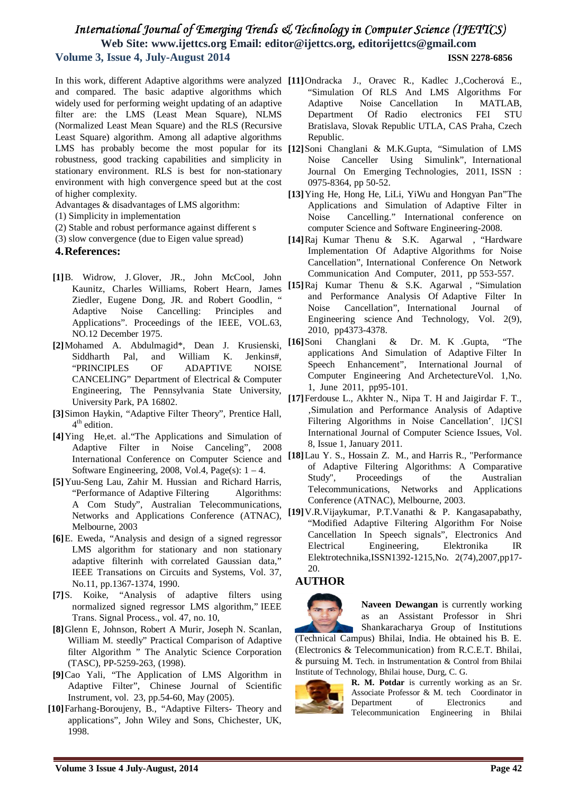and compared. The basic adaptive algorithms which widely used for performing weight updating of an adaptive filter are: the LMS (Least Mean Square), NLMS (Normalized Least Mean Square) and the RLS (Recursive Least Square) algorithm. Among all adaptive algorithms robustness, good tracking capabilities and simplicity in stationary environment. RLS is best for non-stationary environment with high convergence speed but at the cost of higher complexity.

Advantages & disadvantages of LMS algorithm:

- (1) Simplicity in implementation
- (2) Stable and robust performance against different s
- (3) slow convergence (due to Eigen value spread)

#### **4.References:**

- **[1]**B. Widrow, J. Glover, JR., John McCool, John Kaunitz, Charles Williams, Robert Hearn, James Ziedler, Eugene Dong, JR. and Robert Goodlin, " Adaptive Noise Cancelling: Principles and Applications". Proceedings of the IEEE, VOL.63, NO.12 December 1975.
- **[2]**Mohamed A. Abdulmagid\*, Dean J. Krusienski, Siddharth Pal, and William K. Jenkins#, "PRINCIPLES OF ADAPTIVE NOISE CANCELING" Department of Electrical & Computer Engineering, The Pennsylvania State University, University Park, PA 16802.
- **[3]**Simon Haykin, "Adaptive Filter Theory", Prentice Hall, 4<sup>th</sup> edition.
- **[4]**Ying He,et. al."The Applications and Simulation of Adaptive Filter in Noise Canceling", 2008 Software Engineering, 2008, Vol.4, Page(s):  $1 - 4$ .
- **[5]**Yuu-Seng Lau, Zahir M. Hussian and Richard Harris, "Performance of Adaptive Filtering Algorithms: A Com Study", Australian Telecommunications, Networks and Applications Conference (ATNAC), Melbourne, 2003
- **[6]**E. Eweda, "Analysis and design of a signed regressor LMS algorithm for stationary and non stationary adaptive filterinh with correlated Gaussian data," IEEE Transations on Circuits and Systems, Vol. 37, No.11, pp.1367-1374, 1990.
- **[7]**S. Koike, "Analysis of adaptive filters using normalized signed regressor LMS algorithm," IEEE Trans. Signal Process., vol. 47, no. 10,
- **[8]**Glenn E, Johnson, Robert A Murir, Joseph N. Scanlan, William M. steedly" Practical Comparison of Adaptive filter Algorithm " The Analytic Science Corporation (TASC), PP-5259-263, (1998).
- **[9]**Cao Yali, "The Application of LMS Algorithm in Adaptive Filter", Chinese Journal of Scientific Instrument, vol. 23, pp.54-60, May (2005).
- **[10]**Farhang-Boroujeny, B., "Adaptive Filters- Theory and applications", John Wiley and Sons, Chichester, UK, 1998.
- In this work, different Adaptive algorithms were analyzed **[11]**Ondracka J., Oravec R., Kadlec J.,Cocherová E., "Simulation Of RLS And LMS Algorithms For Adaptive Noise Cancellation In MATLAB, Department Of Radio electronics FEI STU Bratislava, Slovak Republic UTLA, CAS Praha, Czech Republic.
- LMS has probably become the most popular for its **[12]**Soni Changlani & M.K.Gupta, "Simulation of LMS Noise Canceller Using Simulink", International Journal On Emerging Technologies, 2011, ISSN : 0975-8364, pp 50-52.
	- **[13]**Ying He, Hong He, LiLi, YiWu and Hongyan Pan"The Applications and Simulation of Adaptive Filter in Noise Cancelling." International conference on computer Science and Software Engineering-2008.
	- **[14]**Raj Kumar Thenu & S.K. Agarwal , "Hardware Implementation Of Adaptive Algorithms for Noise Cancellation", International Conference On Network Communication And Computer, 2011, pp 553-557.
	- **[15]**Raj Kumar Thenu & S.K. Agarwal , "Simulation and Performance Analysis Of Adaptive Filter In Noise Cancellation", International Journal of Engineering science And Technology, Vol. 2(9), 2010, pp4373-4378.
	- Changlani & Dr. M. K .Gupta, "The applications And Simulation of Adaptive Filter In Speech Enhancement", International Journal of Computer Engineering And ArchetectureVol. 1,No. 1, June 2011, pp95-101.
	- **[17]**Ferdouse L., Akhter N., Nipa T. H and Jaigirdar F. T., 'Simulation and Performance Analysis of Adaptive Filtering Algorithms in Noise Cancellation', IJCSI International Journal of Computer Science Issues, Vol. 8, Issue 1, January 2011.
	- International Conference on Computer Science and [18]Lau Y. S., Hossain Z. M., and Harris R., "Performance of Adaptive Filtering Algorithms: A Comparative Study", Proceedings of the Australian Telecommunications, Networks and Applications Conference (ATNAC), Melbourne, 2003.
		- **[19]**V.R.Vijaykumar, P.T.Vanathi & P. Kangasapabathy, "Modified Adaptive Filtering Algorithm For Noise Cancellation In Speech signals", Electronics And Electrical Engineering, Elektronika IR Elektrotechnika,ISSN1392-1215,No. 2(74),2007,pp17- 20.

## **AUTHOR**



**Naveen Dewangan** is currently working as an Assistant Professor in Shri Shankaracharya Group of Institutions

(Technical Campus) Bhilai, India. He obtained his B. E. (Electronics & Telecommunication) from R.C.E.T. Bhilai, & pursuing M. Tech. in Instrumentation & Control from Bhilai Institute of Technology, Bhilai house, Durg, C. G.



**R. M. Potdar** is currently working as an Sr. Associate Professor & M. tech Coordinator in Department of Electronics and Telecommunication Engineering in Bhilai